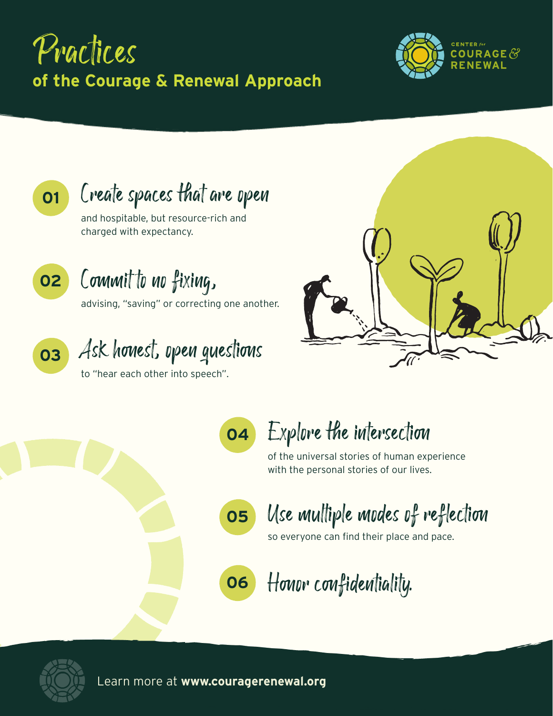# Practices **of the Courage & Renewal Approach**



**01**

Create spaces that are open

and hospitable, but resource-rich and charged with expectancy.



## Commit to no fixing,

advising, "saving" or correcting one another.

**03**

# Ask honest, open questions

to "hear each other into speech".



**04**

## Explore the intersection

of the universal stories of human experience with the personal stories of our lives.



Use multiple modes of reflection

so everyone can find their place and pace.

**06** Honor confidentiality.



Learn more at **www.couragerenewal.org**